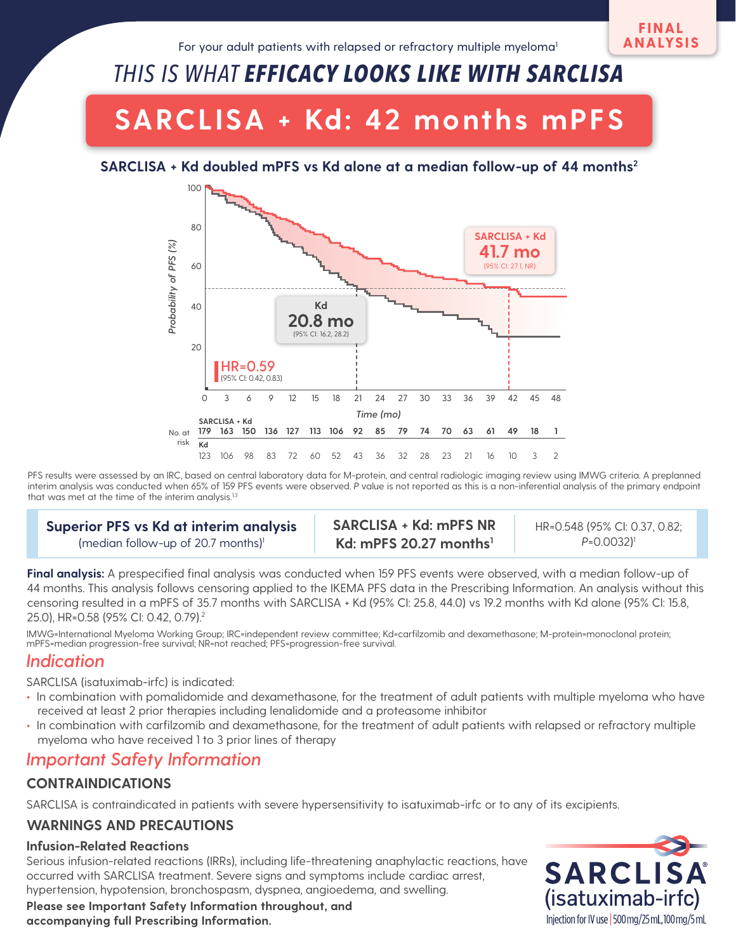# *THIS IS WHAT EFFICACY LOOKS LIKE WITH SARCLISA*

# **SARCLISA + Kd: 42 months mPFS**

### **SARCLISA + Kd doubled mPFS vs Kd alone at a median follow-up of 44 months2**



PFS results were assessed by an IRC, based on central laboratory data for M-protein, and central radiologic imaging review using IMWG criteria. A preplanned interim analysis was conducted when 65% of 159 PFS events were observed. *P* value is not reported as this is a non-inferential analysis of the primary endpoint that was met at the time of the interim analysis.<sup>1,3</sup>

#### **Superior PFS vs Kd at interim analysis** (median follow-up of 20.7 months)<sup>1</sup>

**SARCLISA + Kd: mPFS NR Kd: mPFS 20.27 months1**

HR=0.548 (95% CI: 0.37, 0.82; *P*=0.0032)1

**Final analysis:** A prespecified final analysis was conducted when 159 PFS events were observed, with a median follow-up of 44 months. This analysis follows censoring applied to the IKEMA PFS data in the Prescribing Information. An analysis without this censoring resulted in a mPFS of 35.7 months with SARCLISA + Kd (95% CI: 25.8, 44.0) vs 19.2 months with Kd alone (95% CI: 15.8, 25.0), HR=0.58 (95% CI: 0.42, 0.79).2

IMWG=International Myeloma Working Group; IRC=independent review committee; Kd=carfilzomib and dexamethasone; M-protein=monoclonal protein; mPFS=median progression-free survival; NR=not reached; PFS=progression-free survival.

## *Indication*

SARCLISA (isatuximab-irfc) is indicated:

- **•** In combination with pomalidomide and dexamethasone, for the treatment of adult patients with multiple myeloma who have received at least 2 prior therapies including lenalidomide and a proteasome inhibitor
- **•** In combination with carfilzomib and dexamethasone, for the treatment of adult patients with relapsed or refractory multiple myeloma who have received 1 to 3 prior lines of therapy

## *Important Safety Information*

## **CONTRAINDICATIONS**

SARCLISA is contraindicated in patients with severe hypersensitivity to isatuximab-irfc or to any of its excipients.

## **WARNINGS AND PRECAUTIONS**

#### **Infusion-Related Reactions**

Serious infusion-related reactions (IRRs), including life-threatening anaphylactic reactions, have occurred with SARCLISA treatment. Severe signs and symptoms include cardiac arrest, hypertension, hypotension, bronchospasm, dyspnea, angioedema, and swelling.



**Please see Important Safety Information throughout, and accompanying full [Prescribing Information.](https://products.sanofi.us/Sarclisa/sarclisa.pdf)**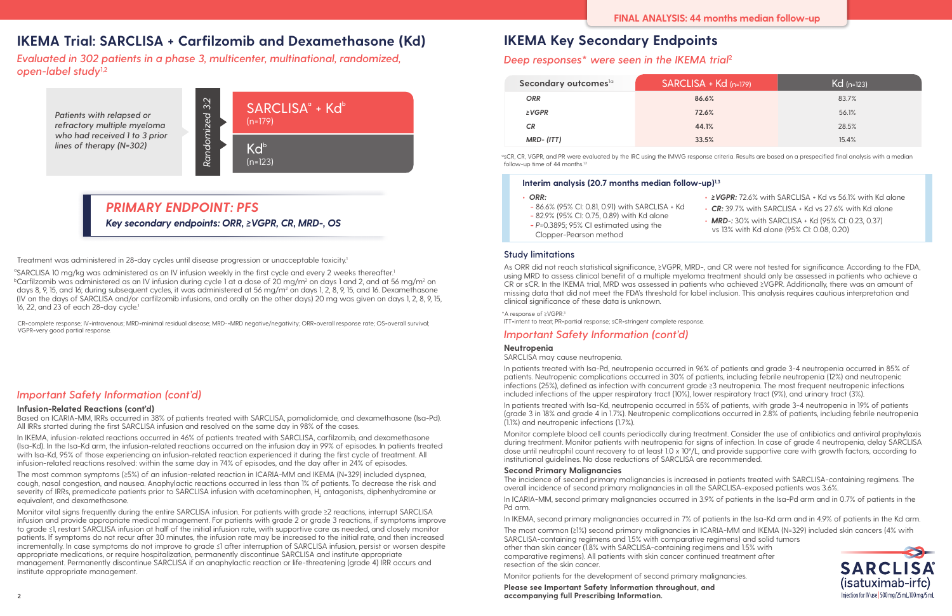#### **Infusion-Related Reactions (cont'd)**

Based on ICARIA-MM, IRRs occurred in 38% of patients treated with SARCLISA, pomalidomide, and dexamethasone (Isa-Pd). All IRRs started during the first SARCLISA infusion and resolved on the same day in 98% of the cases.

In IKEMA, infusion-related reactions occurred in 46% of patients treated with SARCLISA, carfilzomib, and dexamethasone (Isa-Kd). In the Isa-Kd arm, the infusion-related reactions occurred on the infusion day in 99% of episodes. In patients treated with Isa-Kd, 95% of those experiencing an infusion-related reaction experienced it during the first cycle of treatment. All infusion-related reactions resolved: within the same day in 74% of episodes, and the day after in 24% of episodes.

The most common symptoms (≥5%) of an infusion-related reaction in ICARIA-MM and IKEMA (N=329) included dyspnea, cough, nasal congestion, and nausea. Anaphylactic reactions occurred in less than 1% of patients. To decrease the risk and severity of IRRs, premedicate patients prior to SARCLISA infusion with acetaminophen,  ${\sf H_2}$  antagonists, diphenhydramine or equivalent, and dexamethasone.

Monitor vital signs frequently during the entire SARCLISA infusion. For patients with grade ≥2 reactions, interrupt SARCLISA infusion and provide appropriate medical management. For patients with grade 2 or grade 3 reactions, if symptoms improve to grade ≤1, restart SARCLISA infusion at half of the initial infusion rate, with supportive care as needed, and closely monitor patients. If symptoms do not recur after 30 minutes, the infusion rate may be increased to the initial rate, and then increased incrementally. In case symptoms do not improve to grade ≤1 after interruption of SARCLISA infusion, persist or worsen despite appropriate medications, or require hospitalization, permanently discontinue SARCLISA and institute appropriate management. Permanently discontinue SARCLISA if an anaphylactic reaction or life-threatening (grade 4) IRR occurs and institute appropriate management.

## *Important Safety Information (cont'd)*

**Please see Important Safety Information throughout, and accompanying full [Prescribing Information.](https://products.sanofi.us/Sarclisa/sarclisa.pdf)**

## **IKEMA Trial: SARCLISA + Carfilzomib and Dexamethasone (Kd)**

*Evaluated in 302 patients in a phase 3, multicenter, multinational, randomized, open-label study***1,2**



*Patients with relapsed or refractory multiple myeloma who had received 1 to 3 prior lines of therapy (N=302)*

*Key secondary endpoints: ORR, ≥VGPR, CR, MRD-, OS*

## *PRIMARY ENDPOINT: PFS*

Treatment was administered in 28-day cycles until disease progression or unacceptable toxicity.1

<sup>a</sup>SARCLISA 10 mg/kg was administered as an IV infusion weekly in the first cycle and every 2 weeks thereafter.<sup>1</sup>  $^{\rm b}$ Carfilzomib was administered as an IV infusion during cycle 1 at a dose of 20 mg/m $^{\rm a}$  on days 1 and 2, and at 56 mg/m $^{\rm a}$  on days 8, 9, 15, and 16; during subsequent cycles, it was administered at 56 mg/m² on days 1, 2, 8, 9, 15, and 16. Dexamethasone (IV on the days of SARCLISA and/or carfilzomib infusions, and orally on the other days) 20 mg was given on days 1, 2, 8, 9, 15, 16, 22, and 23 of each  $28$ -day cycle.<sup>1</sup>

asCR, CR, VGPR, and PR were evaluated by the IRC using the IMWG response criteria. Results are based on a prespecified final analysis with a median follow-up time of 44 months.<sup>1,2</sup>

# **IKEMA Key Secondary Endpoints**

## *Deep responses\* were seen in the IKEMA trial***<sup>2</sup>**

#### **Study limitations**

As ORR did not reach statistical significance, ≥VGPR, MRD-, and CR were not tested for significance. According to the FDA, using MRD to assess clinical benefit of a multiple myeloma treatment should only be assessed in patients who achieve a CR or sCR. In the IKEMA trial, MRD was assessed in patients who achieved ≥VGPR. Additionally, there was an amount of missing data that did not meet the FDA's threshold for label inclusion. This analysis requires cautious interpretation and clinical significance of these data is unknown.

\*A response of ≥VGPR.3

ITT=intent to treat; PR=partial response; sCR=stringent complete response.

## *Important Safety Information (cont'd)*

#### **Neutropenia**

SARCLISA may cause neutropenia.

In patients treated with Isa-Pd, neutropenia occurred in 96% of patients and grade 3-4 neutropenia occurred in 85% of patients. Neutropenic complications occurred in 30% of patients, including febrile neutropenia (12%) and neutropenic infections (25%), defined as infection with concurrent grade ≥3 neutropenia. The most frequent neutropenic infections included infections of the upper respiratory tract (10%), lower respiratory tract (9%), and urinary tract (3%).

In patients treated with Isa-Kd, neutropenia occurred in 55% of patients, with grade 3-4 neutropenia in 19% of patients (grade 3 in 18% and grade 4 in 1.7%). Neutropenic complications occurred in 2.8% of patients, including febrile neutropenia (1.1%) and neutropenic infections (1.7%).

Monitor complete blood cell counts periodically during treatment. Consider the use of antibiotics and antiviral prophylaxis during treatment. Monitor patients with neutropenia for signs of infection. In case of grade 4 neutropenia, delay SARCLISA dose until neutrophil count recovery to at least 1.0 x 109 /L, and provide supportive care with growth factors, according to institutional guidelines. No dose reductions of SARCLISA are recommended.

#### **Second Primary Malignancies**

The incidence of second primary malignancies is increased in patients treated with SARCLISA-containing regimens. The overall incidence of second primary malignancies in all the SARCLISA-exposed patients was 3.6%.

In ICARIA-MM, second primary malignancies occurred in 3.9% of patients in the Isa-Pd arm and in 0.7% of patients in the Pd arm.

In IKEMA, second primary malignancies occurred in 7% of patients in the Isa-Kd arm and in 4.9% of patients in the Kd arm. The most common (≥1%) second primary malignancies in ICARIA-MM and IKEMA (N=329) included skin cancers (4% with SARCLISA-containing regimens and 1.5% with comparative regimens) and solid tumors other than skin cancer (1.8% with SARCLISA-containing regimens and 1.5% with comparative regimens). All patients with skin cancer continued treatment after

resection of the skin cancer.

Monitor patients for the development of second primary malignancies.

| Secondary outcomes <sup>1a</sup> | SARCLISA + Kd (n=179) | $Kd$ (n=123) |
|----------------------------------|-----------------------|--------------|
| <b>ORR</b>                       | 86.6%                 | 83.7%        |
| $\geq$ VGPR                      | 72.6%                 | 56.1%        |
| CR.                              | 44.1%                 | 28.5%        |
| MRD-(ITT)                        | 33.5%                 | 15.4%        |

CR=complete response; IV=intravenous; MRD=minimal residual disease; MRD-=MRD negative/negativity; ORR=overall response rate; OS=overall survival; VGPR=very good partial response.

## **Interim analysis (20.7 months median follow-up)1,3**

- **•** *ORR:*
- **-** 86.6% (95% CI: 0.81, 0.91) with SARCLISA + Kd
- **-** 82.9% (95% CI: 0.75, 0.89) with Kd alone
- **-** *P*=0.3895; 95% CI estimated using the
- Clopper-Pearson method
- **•** *≥VGPR:* 72.6% with SARCLISA + Kd vs 56.1% with Kd alone
- **•** *CR:* 39.7% with SARCLISA + Kd vs 27.6% with Kd alone
- **•** *MRD-:* 30% with SARCLISA + Kd (95% CI: 0.23, 0.37) vs 13% with Kd alone (95% CI: 0.08, 0.20)

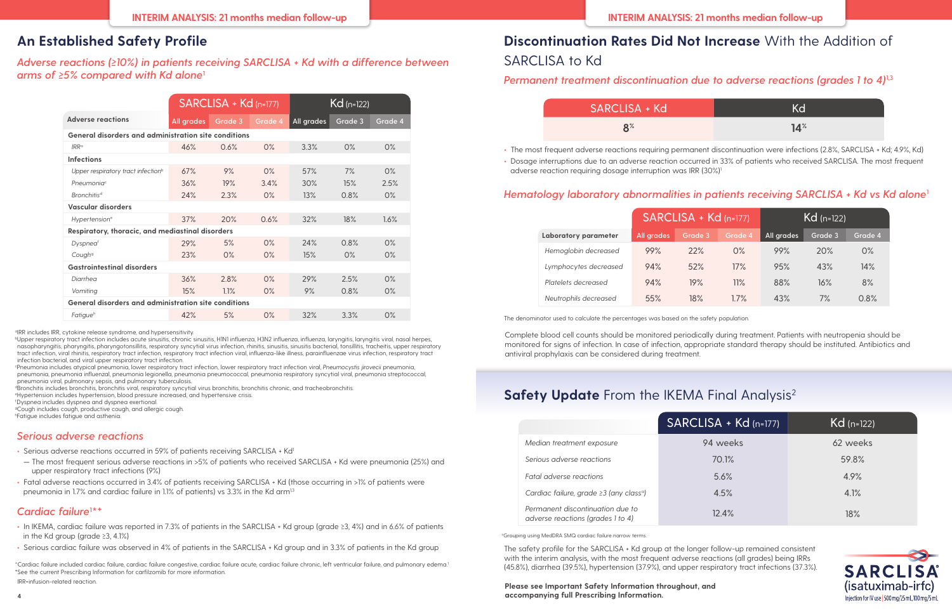#### **Please see Important Safety Information throughout, and accompanying full [Prescribing Information.](https://products.sanofi.us/Sarclisa/sarclisa.pdf)**

# **Discontinuation Rates Did Not Increase** With the Addition of SARCLISA to Kd

## *Permanent treatment discontinuation due to adverse reactions (grades 1 to 4)***1,3**

## SARCLISA + Kd

- 
- adverse reaction requiring dosage interruption was IRR (30%)<sup>1</sup>

| .ISA + Kd      | Kd              |
|----------------|-----------------|
| 8 <sup>%</sup> | 14 <sup>°</sup> |

**•** The most frequent adverse reactions requiring permanent discontinuation were infections (2.8%, SARCLISA + Kd; 4.9%, Kd) **•** Dosage interruptions due to an adverse reaction occurred in 33% of patients who received SARCLISA. The most frequent



## *Hematology laboratory abnormalities in patients receiving SARCLISA + Kd vs Kd alone***<sup>1</sup>**

|                       | SARCLISA + Kd (n=177) |         |         | $Kd$ (n=122) |         |         |
|-----------------------|-----------------------|---------|---------|--------------|---------|---------|
| Laboratory parameter  | All grades            | Grade 3 | Grade 4 | All grades   | Grade 3 | Grade 4 |
| Hemoglobin decreased  | 99%                   | 22%     | $O\%$   | 99%          | 20%     | $0\%$   |
| Lymphocytes decreased | 94%                   | 52%     | 17%     | 95%          | 43%     | $14\%$  |
| Platelets decreased   | 94%                   | 19%     | 11%     | 88%          | 16%     | 8%      |
| Neutrophils decreased | 55%                   | $18\%$  | 1.7%    | 43%          | 7%      | 0.8%    |

The denominator used to calculate the percentages was based on the safety population.

Complete blood cell counts should be monitored periodically during treatment. Patients with neutropenia should be monitored for signs of infection. In case of infection, appropriate standard therapy should be instituted. Antibiotics and antiviral prophylaxis can be considered during treatment.

# **Safety Update** From the IKEMA Final Analysis<sup>2</sup>

- **•** In IKEMA, cardiac failure was reported in 7.3% of patients in the SARCLISA + Kd group (grade ≥3, 4%) and in 6.6% of patients in the Kd group (grade ≥3, 4.1%)
- **•** Serious cardiac failure was observed in 4% of patients in the SARCLISA + Kd group and in 3.3% of patients in the Kd group

## *Cardiac failure***<sup>1</sup> \*†**

\*Cardiac failure included cardiac failure, cardiac failure congestive, cardiac failure acute, cardiac failure chronic, left ventricular failure, and pulmonary edema.1 †See the current Prescribing Information for carfilzomib for more information.

IRR=infusion-related reaction.

## **An Established Safety Profile**

## *Adverse reactions (≥10%) in patients receiving SARCLISA + Kd with a difference between arms of ≥5% compared with Kd alone***<sup>1</sup>**

|                                                      | SARCLISA + Kd (n=177) |         |         | $Kd$ (n=122) |         |         |
|------------------------------------------------------|-----------------------|---------|---------|--------------|---------|---------|
| <b>Adverse reactions</b>                             | All grades            | Grade 3 | Grade 4 | All grades   | Grade 3 | Grade 4 |
| General disorders and administration site conditions |                       |         |         |              |         |         |
| $IRR^{\alpha}$                                       | 46%                   | 0.6%    | $0\%$   | 3.3%         | 0%      | $0\%$   |
| <b>Infections</b>                                    |                       |         |         |              |         |         |
| Upper respiratory tract infection <sup>b</sup>       | 67%                   | 9%      | 0%      | 57%          | 7%      | 0%      |
| Pneumonia <sup>c</sup>                               | 36%                   | 19%     | 3.4%    | 30%          | 15%     | 2.5%    |
| <b>Bronchitisd</b>                                   | 24%                   | 2.3%    | $0\%$   | 13%          | 0.8%    | $0\%$   |
| Vascular disorders                                   |                       |         |         |              |         |         |
| Hypertension <sup>e</sup>                            | 37%                   | 20%     | 0.6%    | 32%          | 18%     | 1.6%    |
| Respiratory, thoracic, and mediastinal disorders     |                       |         |         |              |         |         |
| Dyspneaf                                             | 29%                   | 5%      | $O\%$   | 24%          | 0.8%    | 0%      |
| Cough <sup>9</sup>                                   | 23%                   | $O\%$   | $O\%$   | 15%          | $O\%$   | $0\%$   |
| <b>Gastrointestinal disorders</b>                    |                       |         |         |              |         |         |
| Diarrhea                                             | 36%                   | 2.8%    | $O\%$   | 29%          | 2.5%    | 0%      |
| Vomiting                                             | 15%                   | 1.1%    | $O\%$   | 9%           | 0.8%    | 0%      |
| General disorders and administration site conditions |                       |         |         |              |         |         |
| Fatigue <sup>h</sup>                                 | 42%                   | 5%      | $O\%$   | 32%          | 3.3%    | 0%      |

<sup>a</sup>IRR includes IRR, cytokine release syndrome, and hypersensitivity.

bUpper respiratory tract infection includes acute sinusitis, chronic sinusitis, H1N1 influenza, H3N2 influenza, influenza, laryngitis, laryngitis viral, nasal herpes, nasopharyngitis, pharyngitis, pharyngotonsillitis, respiratory syncytial virus infection, rhinitis, sinusitis, sinusitis bacterial, tonsillitis, tracheitis, upper respiratory tract infection, viral rhinitis, respiratory tract infection, respiratory tract infection viral, influenza-like illness, parainfluenzae virus infection, respiratory tract infection bacterial, and viral upper respiratory tract infection.

c Pneumonia includes atypical pneumonia, lower respiratory tract infection, lower respiratory tract infection viral, *Pneumocystis jirovecii* pneumonia, pneumonia, pneumonia influenzal, pneumonia legionella, pneumonia pneumococcal, pneumonia respiratory syncytial viral, pneumonia streptococcal, pneumonia viral, pulmonary sepsis, and pulmonary tuberculosis.

<sup>d</sup>Bronchitis includes bronchitis, bronchitis viral, respiratory syncytial virus bronchitis, bronchitis chronic, and tracheobronchitis.

e Hypertension includes hypertension, blood pressure increased, and hypertensive crisis.

f Dyspnea includes dyspnea and dyspnea exertional.

<sup>9</sup>Cough includes cough, productive cough, and allergic cough.

h Fatigue includes fatigue and asthenia.

## *Serious adverse reactions*

- Serious adverse reactions occurred in 59% of patients receiving SARCLISA + Kd<sup>1</sup>
- The most frequent serious adverse reactions in >5% of patients who received SARCLISA + Kd were pneumonia (25%) and upper respiratory tract infections (9%)
- **•** Fatal adverse reactions occurred in 3.4% of patients receiving SARCLISA + Kd (those occurring in >1% of patients were pneumonia in 1.7% and cardiac failure in 1.1% of patients) vs 3.3% in the Kd arm<sup>1,3</sup>

The safety profile for the SARCLISA + Kd group at the longer follow-up remained consistent with the interim analysis, with the most frequent adverse reactions (all grades) being IRRs (45.8%), diarrhea (39.5%), hypertension (37.9%), and upper respiratory tract infections (37.3%).

|                                                                       | $SARCLISA + Kd(n=177)$ | $Kd$ (n=122) |
|-----------------------------------------------------------------------|------------------------|--------------|
| Median treatment exposure                                             | 94 weeks               | 62 weeks     |
| Serious adverse reactions                                             | 70.1%                  | 59.8%        |
| Fatal adverse reactions                                               | 5.6%                   | 4.9%         |
| Cardiac failure, grade ≥3 (any class <sup>a</sup> )                   | 4.5%                   | 4.1%         |
| Permanent discontinuation due to<br>adverse reactions (grades 1 to 4) | 12.4%                  | 18%          |
|                                                                       |                        |              |

<sup>a</sup>Grouping using MedDRA SMQ cardiac failure narrow terms.